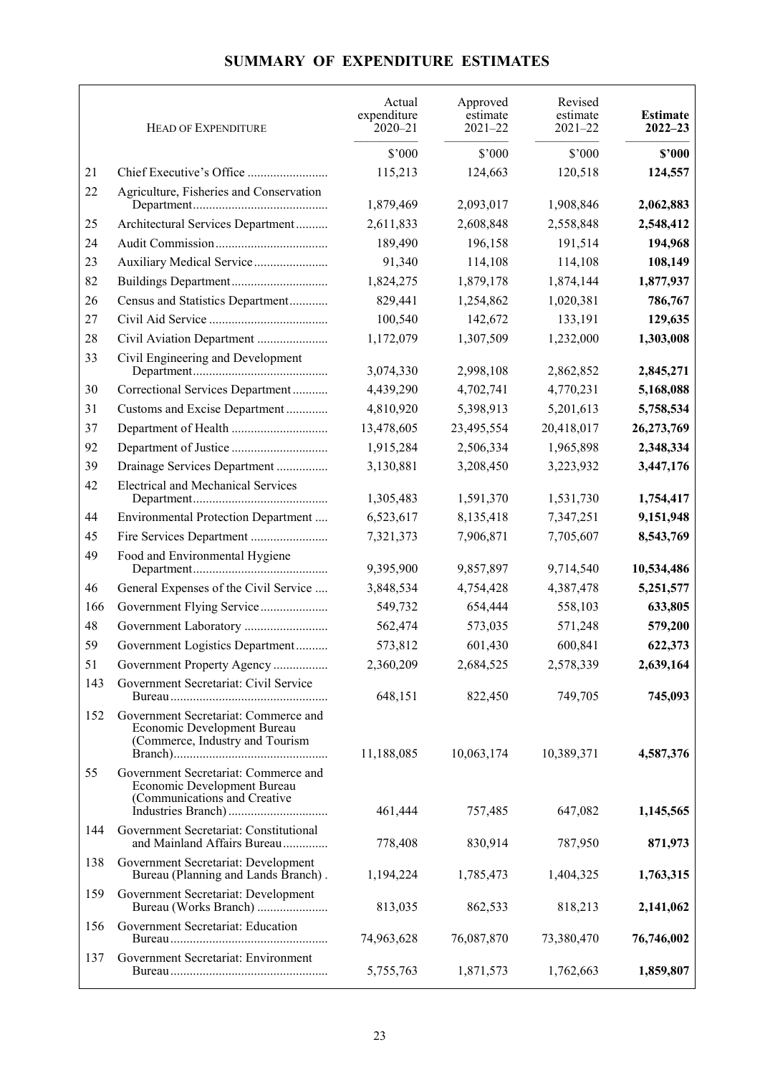## **SUMMARY OF EXPENDITURE ESTIMATES**

|     | <b>HEAD OF EXPENDITURE</b>                                                                             | Actual<br>expenditure<br>$2020 - 21$ | Approved<br>estimate<br>$2021 - 22$ | Revised<br>estimate<br>$2021 - 22$ | <b>Estimate</b><br>$2022 - 23$ |
|-----|--------------------------------------------------------------------------------------------------------|--------------------------------------|-------------------------------------|------------------------------------|--------------------------------|
|     |                                                                                                        | \$'000                               | \$'000                              | \$'000                             | \$2000                         |
| 21  |                                                                                                        | 115,213                              | 124,663                             | 120,518                            | 124,557                        |
| 22  | Agriculture, Fisheries and Conservation                                                                |                                      |                                     |                                    |                                |
| 25  |                                                                                                        | 1,879,469                            | 2,093,017                           | 1,908,846                          | 2,062,883                      |
| 24  | Architectural Services Department                                                                      | 2,611,833<br>189,490                 | 2,608,848<br>196,158                | 2,558,848<br>191,514               | 2,548,412<br>194,968           |
| 23  | Auxiliary Medical Service                                                                              | 91,340                               | 114,108                             | 114,108                            | 108,149                        |
| 82  |                                                                                                        | 1,824,275                            | 1,879,178                           | 1,874,144                          | 1,877,937                      |
| 26  | Census and Statistics Department                                                                       | 829,441                              | 1,254,862                           | 1,020,381                          | 786,767                        |
| 27  |                                                                                                        | 100,540                              | 142,672                             | 133,191                            | 129,635                        |
| 28  | Civil Aviation Department                                                                              | 1,172,079                            | 1,307,509                           | 1,232,000                          | 1,303,008                      |
| 33  | Civil Engineering and Development                                                                      |                                      |                                     |                                    |                                |
|     |                                                                                                        | 3,074,330                            | 2,998,108                           | 2,862,852                          | 2,845,271                      |
| 30  | Correctional Services Department                                                                       | 4,439,290                            | 4,702,741                           | 4,770,231                          | 5,168,088                      |
| 31  | Customs and Excise Department                                                                          | 4,810,920                            | 5,398,913                           | 5,201,613                          | 5,758,534                      |
| 37  |                                                                                                        | 13,478,605                           | 23,495,554                          | 20,418,017                         | 26,273,769                     |
| 92  |                                                                                                        | 1,915,284                            | 2,506,334                           | 1,965,898                          | 2,348,334                      |
| 39  | Drainage Services Department                                                                           | 3,130,881                            | 3,208,450                           | 3,223,932                          | 3,447,176                      |
| 42  | <b>Electrical and Mechanical Services</b>                                                              | 1,305,483                            | 1,591,370                           | 1,531,730                          | 1,754,417                      |
| 44  | Environmental Protection Department                                                                    | 6,523,617                            | 8,135,418                           | 7,347,251                          | 9,151,948                      |
| 45  | Fire Services Department                                                                               | 7,321,373                            | 7,906,871                           | 7,705,607                          | 8,543,769                      |
| 49  | Food and Environmental Hygiene                                                                         | 9,395,900                            | 9,857,897                           | 9,714,540                          | 10,534,486                     |
| 46  | General Expenses of the Civil Service                                                                  | 3,848,534                            | 4,754,428                           | 4,387,478                          | 5,251,577                      |
| 166 | Government Flying Service                                                                              | 549,732                              | 654,444                             | 558,103                            | 633,805                        |
| 48  | Government Laboratory                                                                                  | 562,474                              | 573,035                             | 571,248                            | 579,200                        |
| 59  | Government Logistics Department                                                                        | 573,812                              | 601,430                             | 600,841                            | 622,373                        |
| 51  | Government Property Agency                                                                             | 2,360,209                            | 2,684,525                           | 2,578,339                          | 2,639,164                      |
| 143 | Government Secretariat: Civil Service                                                                  | 648,151                              | 822,450                             | 749,705                            | 745,093                        |
| 152 | Government Secretariat: Commerce and<br>Economic Development Bureau<br>(Commerce, Industry and Tourism | 11,188,085                           | 10,063,174                          | 10,389,371                         | 4,587,376                      |
| 55  | Government Secretariat: Commerce and<br>Economic Development Bureau<br>(Communications and Creative    | 461,444                              | 757,485                             | 647,082                            | 1,145,565                      |
| 144 | Government Secretariat: Constitutional<br>and Mainland Affairs Bureau                                  | 778,408                              | 830,914                             | 787,950                            | 871,973                        |
| 138 | Government Secretariat: Development<br>Bureau (Planning and Lands Branch).                             | 1,194,224                            | 1,785,473                           | 1,404,325                          | 1,763,315                      |
| 159 | Government Secretariat: Development<br>Bureau (Works Branch)                                           | 813,035                              | 862,533                             | 818,213                            | 2,141,062                      |
| 156 | Government Secretariat: Education                                                                      | 74,963,628                           | 76,087,870                          | 73,380,470                         | 76,746,002                     |
| 137 | Government Secretariat: Environment                                                                    | 5,755,763                            | 1,871,573                           | 1,762,663                          | 1,859,807                      |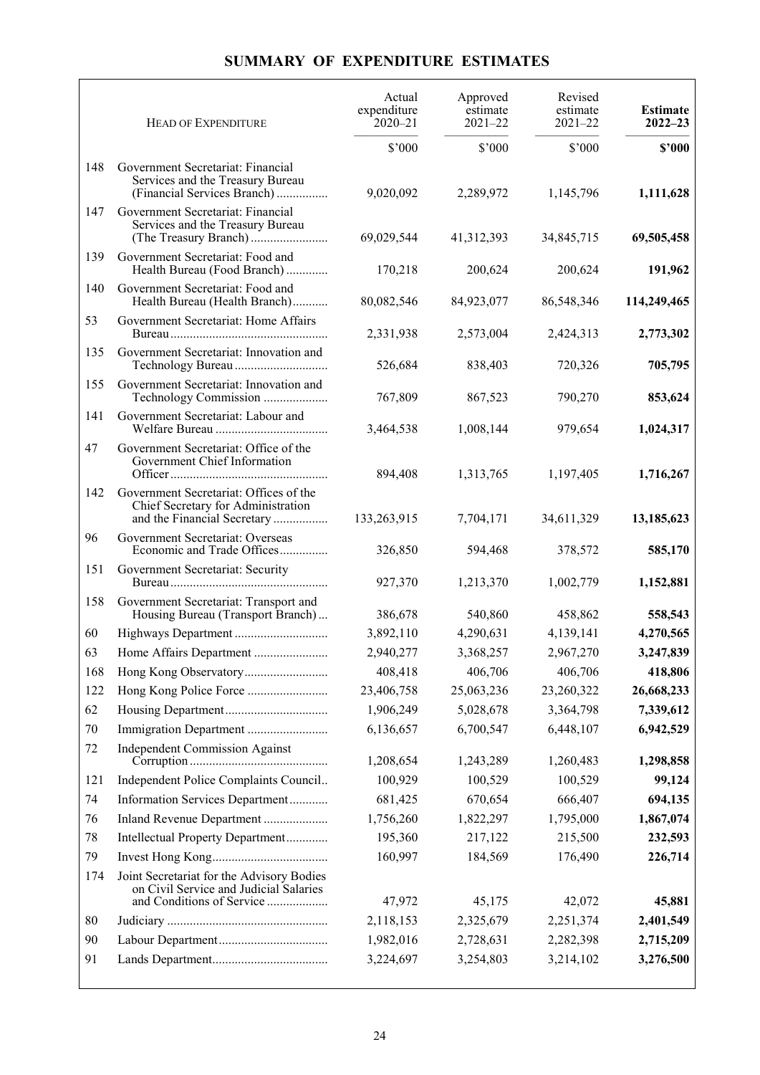## **SUMMARY OF EXPENDITURE ESTIMATES**

|     | <b>HEAD OF EXPENDITURE</b>                                                                                  | Actual<br>expenditure<br>$2020 - 21$ | Approved<br>estimate<br>$2021 - 22$ | Revised<br>estimate<br>$2021 - 22$ | <b>Estimate</b><br>$2022 - 23$ |
|-----|-------------------------------------------------------------------------------------------------------------|--------------------------------------|-------------------------------------|------------------------------------|--------------------------------|
|     |                                                                                                             | \$'000                               | \$'000                              | \$'000                             | \$2000                         |
| 148 | Government Secretariat: Financial<br>Services and the Treasury Bureau<br>(Financial Services Branch)        | 9,020,092                            | 2,289,972                           | 1,145,796                          | 1,111,628                      |
| 147 | Government Secretariat: Financial<br>Services and the Treasury Bureau                                       | 69,029,544                           | 41,312,393                          | 34,845,715                         | 69,505,458                     |
| 139 | Government Secretariat: Food and<br>Health Bureau (Food Branch)                                             | 170,218                              | 200,624                             | 200,624                            | 191,962                        |
| 140 | Government Secretariat: Food and<br>Health Bureau (Health Branch)                                           | 80,082,546                           | 84,923,077                          | 86,548,346                         | 114,249,465                    |
| 53  | Government Secretariat: Home Affairs                                                                        | 2,331,938                            | 2,573,004                           | 2,424,313                          | 2,773,302                      |
| 135 | Government Secretariat: Innovation and                                                                      | 526,684                              | 838,403                             | 720,326                            | 705,795                        |
| 155 | Government Secretariat: Innovation and<br>Technology Commission                                             | 767,809                              | 867,523                             | 790,270                            | 853,624                        |
| 141 | Government Secretariat: Labour and                                                                          | 3,464,538                            | 1,008,144                           | 979,654                            | 1,024,317                      |
| 47  | Government Secretariat: Office of the<br>Government Chief Information                                       | 894,408                              | 1,313,765                           | 1,197,405                          | 1,716,267                      |
| 142 | Government Secretariat: Offices of the<br>Chief Secretary for Administration<br>and the Financial Secretary | 133,263,915                          | 7,704,171                           | 34,611,329                         | 13,185,623                     |
| 96  | Government Secretariat: Overseas<br>Economic and Trade Offices                                              | 326,850                              | 594,468                             | 378,572                            | 585,170                        |
| 151 | Government Secretariat: Security                                                                            | 927,370                              | 1,213,370                           | 1,002,779                          | 1,152,881                      |
| 158 | Government Secretariat: Transport and<br>Housing Bureau (Transport Branch)                                  | 386,678                              | 540,860                             | 458,862                            | 558,543                        |
| 60  | Highways Department                                                                                         | 3,892,110                            | 4,290,631                           | 4,139,141                          | 4,270,565                      |
| 63  | Home Affairs Department                                                                                     | 2,940,277                            | 3,368,257                           | 2,967,270                          | 3,247,839                      |
| 168 |                                                                                                             | 408,418                              | 406,706                             | 406,706                            | 418,806                        |
| 122 |                                                                                                             | 23,406,758                           | 25,063,236                          | 23,260,322                         | 26,668,233                     |
| 62  |                                                                                                             | 1,906,249                            | 5,028,678                           | 3,364,798                          | 7,339,612                      |
| 70  | Immigration Department                                                                                      | 6,136,657                            | 6,700,547                           | 6,448,107                          | 6,942,529                      |
| 72  | <b>Independent Commission Against</b>                                                                       | 1,208,654                            | 1,243,289                           | 1,260,483                          | 1,298,858                      |
| 121 | Independent Police Complaints Council                                                                       | 100,929                              | 100,529                             | 100,529                            | 99,124                         |
| 74  | Information Services Department                                                                             | 681,425                              | 670,654                             | 666,407                            | 694,135                        |
| 76  | Inland Revenue Department                                                                                   | 1,756,260                            | 1,822,297                           | 1,795,000                          | 1,867,074                      |
| 78  | Intellectual Property Department                                                                            | 195,360                              | 217,122                             | 215,500                            | 232,593                        |
| 79  |                                                                                                             | 160,997                              | 184,569                             | 176,490                            | 226,714                        |
| 174 | Joint Secretariat for the Advisory Bodies<br>on Civil Service and Judicial Salaries                         |                                      |                                     |                                    |                                |
|     | and Conditions of Service                                                                                   | 47,972                               | 45,175                              | 42,072                             | 45,881                         |
| 80  |                                                                                                             | 2,118,153                            | 2,325,679                           | 2,251,374                          | 2,401,549                      |
| 90  |                                                                                                             | 1,982,016                            | 2,728,631                           | 2,282,398                          | 2,715,209                      |
| 91  |                                                                                                             | 3,224,697                            | 3,254,803                           | 3,214,102                          | 3,276,500                      |